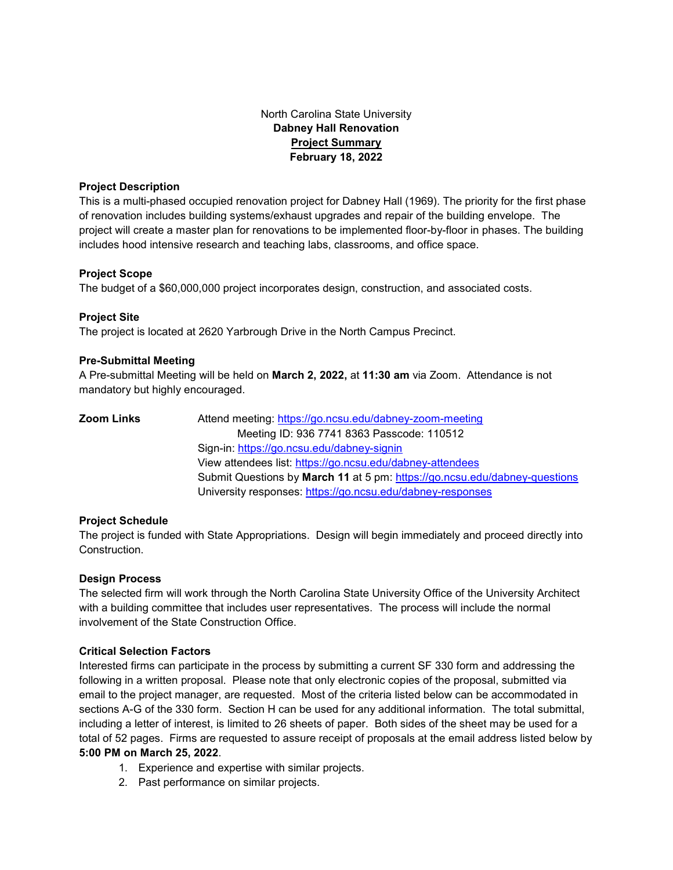# North Carolina State University **Dabney Hall Renovation Project Summary February 18, 2022**

## **Project Description**

This is a multi-phased occupied renovation project for Dabney Hall (1969). The priority for the first phase of renovation includes building systems/exhaust upgrades and repair of the building envelope. The project will create a master plan for renovations to be implemented floor-by-floor in phases. The building includes hood intensive research and teaching labs, classrooms, and office space.

## **Project Scope**

The budget of a \$60,000,000 project incorporates design, construction, and associated costs.

## **Project Site**

The project is located at 2620 Yarbrough Drive in the North Campus Precinct.

## **Pre-Submittal Meeting**

A Pre-submittal Meeting will be held on **March 2, 2022,** at **11:30 am** via Zoom. Attendance is not mandatory but highly encouraged.

| Zoom Links | Attend meeting: https://go.ncsu.edu/dabney-zoom-meeting                    |
|------------|----------------------------------------------------------------------------|
|            | Meeting ID: 936 7741 8363 Passcode: 110512                                 |
|            | Sign-in: https://go.ncsu.edu/dabney-signin                                 |
|            | View attendees list: https://go.ncsu.edu/dabney-attendees                  |
|            | Submit Questions by March 11 at 5 pm: https://go.ncsu.edu/dabney-questions |
|            | University responses: https://go.ncsu.edu/dabney-responses                 |

## **Project Schedule**

The project is funded with State Appropriations. Design will begin immediately and proceed directly into Construction.

### **Design Process**

The selected firm will work through the North Carolina State University Office of the University Architect with a building committee that includes user representatives. The process will include the normal involvement of the State Construction Office.

### **Critical Selection Factors**

Interested firms can participate in the process by submitting a current SF 330 form and addressing the following in a written proposal. Please note that only electronic copies of the proposal, submitted via email to the project manager, are requested. Most of the criteria listed below can be accommodated in sections A-G of the 330 form. Section H can be used for any additional information. The total submittal, including a letter of interest, is limited to 26 sheets of paper. Both sides of the sheet may be used for a total of 52 pages. Firms are requested to assure receipt of proposals at the email address listed below by **5:00 PM on March 25, 2022**.

- 1. Experience and expertise with similar projects.
- 2. Past performance on similar projects.